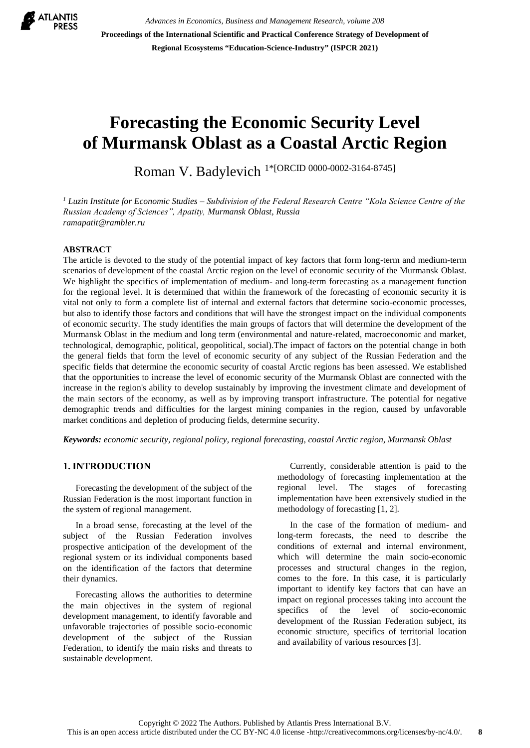

*Advances in Economics, Business and Management Research, volume 208* **Proceedings of the International Scientific and Practical Conference Strategy of Development of Regional Ecosystems "Education-Science-Industry" (ISPCR 2021)**

# **Forecasting the Economic Security Level of Murmansk Oblast as a Coastal Arctic Region**

Roman V. Badylevich 1\*[ORCID 0000-0002-3164-8745]

*<sup>1</sup> Luzin Institute for Economic Studies – Subdivision of the Federal Research Centre "Kola Science Centre of the Russian Academy of Sciences", Apatity, Murmansk Oblast, Russia ramapatit@rambler.ru*

## **ABSTRACT**

The article is devoted to the study of the potential impact of key factors that form long-term and medium-term scenarios of development of the coastal Arctic region on the level of economic security of the Murmansk Oblast. We highlight the specifics of implementation of medium- and long-term forecasting as a management function for the regional level. It is determined that within the framework of the forecasting of economic security it is vital not only to form a complete list of internal and external factors that determine socio-economic processes, but also to identify those factors and conditions that will have the strongest impact on the individual components of economic security. The study identifies the main groups of factors that will determine the development of the Murmansk Oblast in the medium and long term (environmental and nature-related, macroeconomic and market, technological, demographic, political, geopolitical, social).The impact of factors on the potential change in both the general fields that form the level of economic security of any subject of the Russian Federation and the specific fields that determine the economic security of coastal Arctic regions has been assessed. We established that the opportunities to increase the level of economic security of the Murmansk Oblast are connected with the increase in the region's ability to develop sustainably by improving the investment climate and development of the main sectors of the economy, as well as by improving transport infrastructure. The potential for negative demographic trends and difficulties for the largest mining companies in the region, caused by unfavorable market conditions and depletion of producing fields, determine security.

*Keywords: economic security, [regional policy,](http://arctica-ac.ru/tag/1035/) regional forecasting, coastal Arctic region, Murmansk Oblast*

# **1. INTRODUCTION**

Forecasting the development of the subject of the Russian Federation is the most important function in the system of regional management.

In a broad sense, forecasting at the level of the subject of the Russian Federation involves prospective anticipation of the development of the regional system or its individual components based on the identification of the factors that determine their dynamics.

Forecasting allows the authorities to determine the main objectives in the system of regional development management, to identify favorable and unfavorable trajectories of possible socio-economic development of the subject of the Russian Federation, to identify the main risks and threats to sustainable development.

Currently, considerable attention is paid to the methodology of forecasting implementation at the regional level. The stages of forecasting implementation have been extensively studied in the methodology of forecasting [1, 2].

In the case of the formation of medium- and long-term forecasts, the need to describe the conditions of external and internal environment, which will determine the main socio-economic processes and structural changes in the region, comes to the fore. In this case, it is particularly important to identify key factors that can have an impact on regional processes taking into account the specifics of the level of socio-economic development of the Russian Federation subject, its economic structure, specifics of territorial location and availability of various resources [3].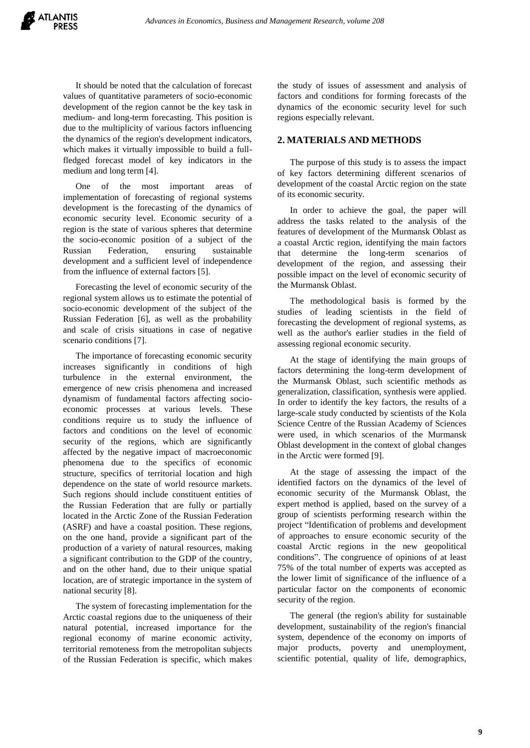It should be noted that the calculation of forecast values of quantitative parameters of socio-economic development of the region cannot be the key task in medium- and long-term forecasting. This position is due to the multiplicity of various factors influencing the dynamics of the region's development indicators, which makes it virtually impossible to build a fullfledged forecast model of key indicators in the medium and long term [4].

One of the most important areas of implementation of forecasting of regional systems development is the forecasting of the dynamics of economic security level. Economic security of a region is the state of various spheres that determine the socio-economic position of a subject of the Russian Federation, ensuring sustainable development and a sufficient level of independence from the influence of external factors [5].

Forecasting the level of economic security of the regional system allows us to estimate the potential of socio-economic development of the subject of the Russian Federation [6], as well as the probability and scale of crisis situations in case of negative scenario conditions [7].

The importance of forecasting economic security increases significantly in conditions of high turbulence in the external environment, the emergence of new crisis phenomena and increased dynamism of fundamental factors affecting socioeconomic processes at various levels. These conditions require us to study the influence of factors and conditions on the level of economic security of the regions, which are significantly affected by the negative impact of macroeconomic phenomena due to the specifics of economic structure, specifics of territorial location and high dependence on the state of world resource markets. Such regions should include constituent entities of the Russian Federation that are fully or partially located in the Arctic Zone of the Russian Federation (ASRF) and have a coastal position. These regions, on the one hand, provide a significant part of the production of a variety of natural resources, making a significant contribution to the GDP of the country, and on the other hand, due to their unique spatial location, are of strategic importance in the system of national security [8].

The system of forecasting implementation for the Arctic coastal regions due to the uniqueness of their natural potential, increased importance for the regional economy of marine economic activity, territorial remoteness from the metropolitan subjects of the Russian Federation is specific, which makes

the study of issues of assessment and analysis of factors and conditions for forming forecasts of the dynamics of the economic security level for such regions especially relevant.

# **2. MATERIALS AND METHODS**

The purpose of this study is to assess the impact of key factors determining different scenarios of development of the coastal Arctic region on the state of its economic security.

In order to achieve the goal, the paper will address the tasks related to the analysis of the features of development of the Murmansk Oblast as a coastal Arctic region, identifying the main factors that determine the long-term scenarios of development of the region, and assessing their possible impact on the level of economic security of the Murmansk Oblast.

The methodological basis is formed by the studies of leading scientists in the field of forecasting the development of regional systems, as well as the author's earlier studies in the field of assessing regional economic security.

At the stage of identifying the main groups of factors determining the long-term development of the Murmansk Oblast, such scientific methods as generalization, classification, synthesis were applied. In order to identify the key factors, the results of a large-scale study conducted by scientists of the Kola Science Centre of the Russian Academy of Sciences were used, in which scenarios of the Murmansk Oblast development in the context of global changes in the Arctic were formed [9].

At the stage of assessing the impact of the identified factors on the dynamics of the level of economic security of the Murmansk Oblast, the expert method is applied, based on the survey of a group of scientists performing research within the project "Identification of problems and development of approaches to ensure economic security of the coastal Arctic regions in the new geopolitical conditions". The congruence of opinions of at least 75% of the total number of experts was accepted as the lower limit of significance of the influence of a particular factor on the components of economic security of the region.

The general (the region's ability for sustainable development, sustainability of the region's financial system, dependence of the economy on imports of major products, poverty and unemployment, scientific potential, quality of life, demographics,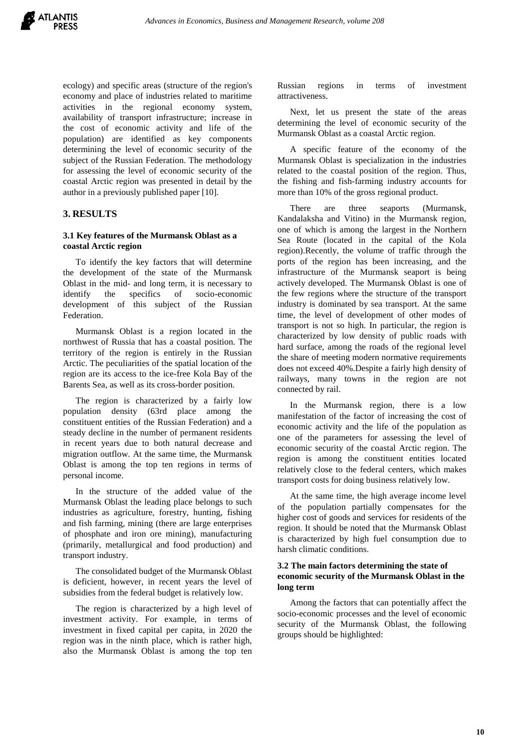ecology) and specific areas (structure of the region's economy and place of industries related to maritime activities in the regional economy system, availability of transport infrastructure; increase in the cost of economic activity and life of the population) are identified as key components determining the level of economic security of the subject of the Russian Federation. The methodology for assessing the level of economic security of the coastal Arctic region was presented in detail by the author in a previously published paper [10].

# **3. RESULTS**

## **3.1 Key features of the Murmansk Oblast as a coastal Arctic region**

To identify the key factors that will determine the development of the state of the Murmansk Oblast in the mid- and long term, it is necessary to identify the specifics of socio-economic development of this subject of the Russian Federation.

Murmansk Oblast is a region located in the northwest of Russia that has a coastal position. The territory of the region is entirely in the Russian Arctic. The peculiarities of the spatial location of the region are its access to the ice-free Kola Bay of the Barents Sea, as well as its cross-border position.

The region is characterized by a fairly low population density (63rd place among the constituent entities of the Russian Federation) and a steady decline in the number of permanent residents in recent years due to both natural decrease and migration outflow. At the same time, the Murmansk Oblast is among the top ten regions in terms of personal income.

In the structure of the added value of the Murmansk Oblast the leading place belongs to such industries as agriculture, forestry, hunting, fishing and fish farming, mining (there are large enterprises of phosphate and iron ore mining), manufacturing (primarily, metallurgical and food production) and transport industry.

The consolidated budget of the Murmansk Oblast is deficient, however, in recent years the level of subsidies from the federal budget is relatively low.

The region is characterized by a high level of investment activity. For example, in terms of investment in fixed capital per capita, in 2020 the region was in the ninth place, which is rather high, also the Murmansk Oblast is among the top ten

Russian regions in terms of investment attractiveness.

Next, let us present the state of the areas determining the level of economic security of the Murmansk Oblast as a coastal Arctic region.

A specific feature of the economy of the Murmansk Oblast is specialization in the industries related to the coastal position of the region. Thus, the fishing and fish-farming industry accounts for more than 10% of the gross regional product.

There are three seaports (Murmansk, Kandalaksha and Vitino) in the Murmansk region, one of which is among the largest in the Northern Sea Route (located in the capital of the Kola region).Recently, the volume of traffic through the ports of the region has been increasing, and the infrastructure of the Murmansk seaport is being actively developed. The Murmansk Oblast is one of the few regions where the structure of the transport industry is dominated by sea transport. At the same time, the level of development of other modes of transport is not so high. In particular, the region is characterized by low density of public roads with hard surface, among the roads of the regional level the share of meeting modern normative requirements does not exceed 40%.Despite a fairly high density of railways, many towns in the region are not connected by rail.

In the Murmansk region, there is a low manifestation of the factor of increasing the cost of economic activity and the life of the population as one of the parameters for assessing the level of economic security of the coastal Arctic region. The region is among the constituent entities located relatively close to the federal centers, which makes transport costs for doing business relatively low.

At the same time, the high average income level of the population partially compensates for the higher cost of goods and services for residents of the region. It should be noted that the Murmansk Oblast is characterized by high fuel consumption due to harsh climatic conditions.

# **3.2 The main factors determining the state of economic security of the Murmansk Oblast in the long term**

Among the factors that can potentially affect the socio-economic processes and the level of economic security of the Murmansk Oblast, the following groups should be highlighted: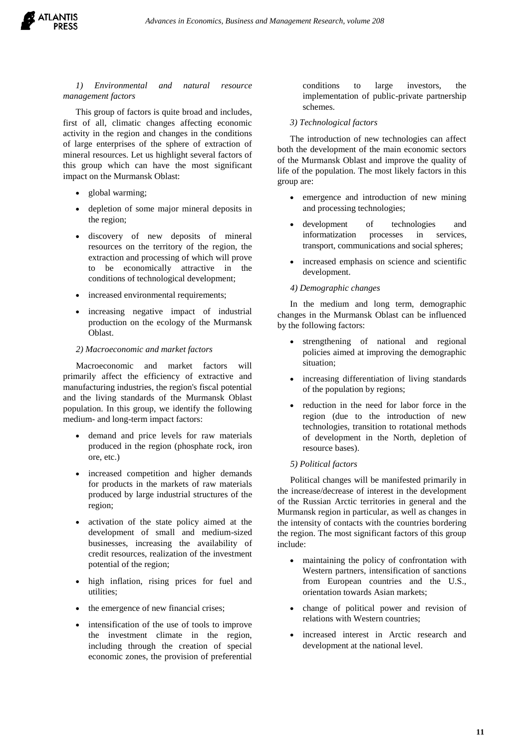

# *1) Environmental and natural resource management factors*

This group of factors is quite broad and includes, first of all, climatic changes affecting economic activity in the region and changes in the conditions of large enterprises of the sphere of extraction of mineral resources. Let us highlight several factors of this group which can have the most significant impact on the Murmansk Oblast:

- global warming;
- depletion of some major mineral deposits in the region;
- discovery of new deposits of mineral resources on the territory of the region, the extraction and processing of which will prove to be economically attractive in the conditions of technological development;
- increased environmental requirements;
- increasing negative impact of industrial production on the ecology of the Murmansk Oblast.

#### *2) Macroeconomic and market factors*

Macroeconomic and market factors will primarily affect the efficiency of extractive and manufacturing industries, the region's fiscal potential and the living standards of the Murmansk Oblast population. In this group, we identify the following medium- and long-term impact factors:

- demand and price levels for raw materials produced in the region (phosphate rock, iron ore, etc.)
- increased competition and higher demands for products in the markets of raw materials produced by large industrial structures of the region;
- activation of the state policy aimed at the development of small and medium-sized businesses, increasing the availability of credit resources, realization of the investment potential of the region;
- high inflation, rising prices for fuel and utilities;
- the emergence of new financial crises;
- intensification of the use of tools to improve the investment climate in the region, including through the creation of special economic zones, the provision of preferential

conditions to large investors, the implementation of public-private partnership schemes.

#### *3) Technological factors*

The introduction of new technologies can affect both the development of the main economic sectors of the Murmansk Oblast and improve the quality of life of the population. The most likely factors in this group are:

- emergence and introduction of new mining and processing technologies;
- development of technologies and informatization processes in services, transport, communications and social spheres;
- increased emphasis on science and scientific development.

#### *4) Demographic changes*

In the medium and long term, demographic changes in the Murmansk Oblast can be influenced by the following factors:

- strengthening of national and regional policies aimed at improving the demographic situation;
- increasing differentiation of living standards of the population by regions;
- reduction in the need for labor force in the region (due to the introduction of new technologies, transition to rotational methods of development in the North, depletion of resource bases).

#### *5) Political factors*

Political changes will be manifested primarily in the increase/decrease of interest in the development of the Russian Arctic territories in general and the Murmansk region in particular, as well as changes in the intensity of contacts with the countries bordering the region. The most significant factors of this group include:

- maintaining the policy of confrontation with Western partners, intensification of sanctions from European countries and the U.S., orientation towards Asian markets;
- change of political power and revision of relations with Western countries;
- increased interest in Arctic research and development at the national level.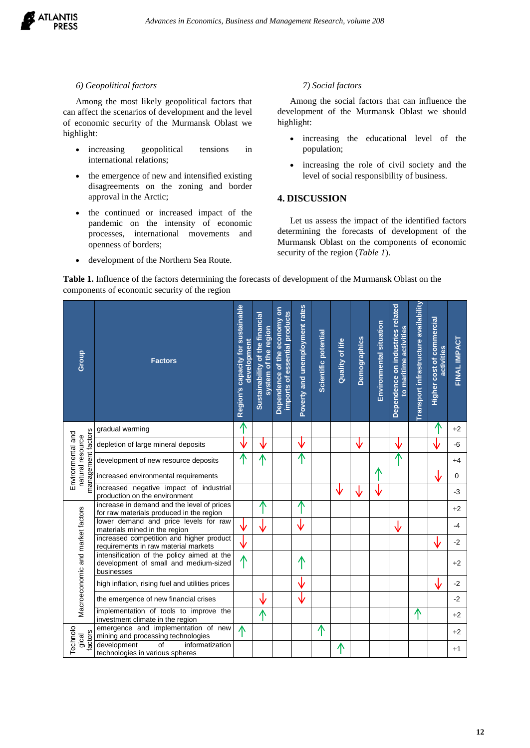

# *6) Geopolitical factors*

Among the most likely geopolitical factors that can affect the scenarios of development and the level of economic security of the Murmansk Oblast we highlight:

- increasing geopolitical tensions in international relations;
- the emergence of new and intensified existing disagreements on the zoning and border approval in the Arctic;
- the continued or increased impact of the pandemic on the intensity of economic processes, international movements and openness of borders;
- development of the Northern Sea Route.

## *7) Social factors*

Among the social factors that can influence the development of the Murmansk Oblast we should highlight:

- increasing the educational level of the population;
- increasing the role of civil society and the level of social responsibility of business.

## **4. DISCUSSION**

Let us assess the impact of the identified factors determining the forecasts of development of the Murmansk Oblast on the components of economic security of the region (*Table 1*).

**Table 1.** Influence of the factors determining the forecasts of development of the Murmansk Oblast on the components of economic security of the region

| Group                                                       | <b>Factors</b>                                                                                    | Region's capacity for sustainable<br>development | Sustainability of the financial<br>system of the region | Dependence of the economy on<br>imports of essential products | Poverty and unemployment rates | Scientific potential | Quality of life | <b>Demographics</b> | Environmental situation | Dependence on industries related<br>to maritime activities | Transport infrastructure availability | Higher cost of commercial<br>activities | FINAL IMPACT |
|-------------------------------------------------------------|---------------------------------------------------------------------------------------------------|--------------------------------------------------|---------------------------------------------------------|---------------------------------------------------------------|--------------------------------|----------------------|-----------------|---------------------|-------------------------|------------------------------------------------------------|---------------------------------------|-----------------------------------------|--------------|
|                                                             | gradual warming                                                                                   | ↑                                                |                                                         |                                                               |                                |                      |                 |                     |                         |                                                            |                                       | ↑                                       | $+2$         |
| management factors<br>Environmental and<br>natural resource | depletion of large mineral deposits                                                               | ↓                                                |                                                         |                                                               | V                              |                      |                 | V                   |                         | ∿                                                          |                                       |                                         | -6           |
|                                                             | development of new resource deposits                                                              | ↑                                                | ѧ                                                       |                                                               | ↑                              |                      |                 |                     |                         |                                                            |                                       |                                         | $+4$         |
|                                                             | increased environmental requirements                                                              |                                                  |                                                         |                                                               |                                |                      |                 |                     | ∧                       |                                                            |                                       | ↓                                       | $\mathbf 0$  |
|                                                             | increased negative impact of industrial<br>production on the environment                          |                                                  |                                                         |                                                               |                                |                      | ∿               |                     |                         |                                                            |                                       |                                         | $-3$         |
| Macroeconomic and market factors                            | increase in demand and the level of prices<br>for raw materials produced in the region            |                                                  |                                                         |                                                               | ⋀                              |                      |                 |                     |                         |                                                            |                                       |                                         | $+2$         |
|                                                             | lower demand and price levels for raw<br>materials mined in the region                            |                                                  |                                                         |                                                               | √                              |                      |                 |                     |                         | ↓                                                          |                                       |                                         | -4           |
|                                                             | increased competition and higher product<br>requirements in raw material markets                  | ∿                                                |                                                         |                                                               |                                |                      |                 |                     |                         |                                                            |                                       | ∿                                       | $-2$         |
|                                                             | intensification of the policy aimed at the<br>development of small and medium-sized<br>businesses | ∧                                                |                                                         |                                                               | ↑                              |                      |                 |                     |                         |                                                            |                                       |                                         | $+2$         |
|                                                             | high inflation, rising fuel and utilities prices                                                  |                                                  |                                                         |                                                               | V                              |                      |                 |                     |                         |                                                            |                                       |                                         | $-2$         |
|                                                             | the emergence of new financial crises                                                             |                                                  | ∿                                                       |                                                               | ↓                              |                      |                 |                     |                         |                                                            |                                       |                                         | $-2$         |
|                                                             | implementation of tools to improve the<br>investment climate in the region                        |                                                  | ↑                                                       |                                                               |                                |                      |                 |                     |                         |                                                            | 个                                     |                                         | $+2$         |
| Technolo<br>factors<br>gical                                | emergence and implementation of new<br>mining and processing technologies                         | ∧                                                |                                                         |                                                               |                                | ↑                    |                 |                     |                         |                                                            |                                       |                                         | $+2$         |
|                                                             | development<br>$\overline{of}$<br>informatization<br>technologies in various spheres              |                                                  |                                                         |                                                               |                                |                      | ↑               |                     |                         |                                                            |                                       |                                         | $+1$         |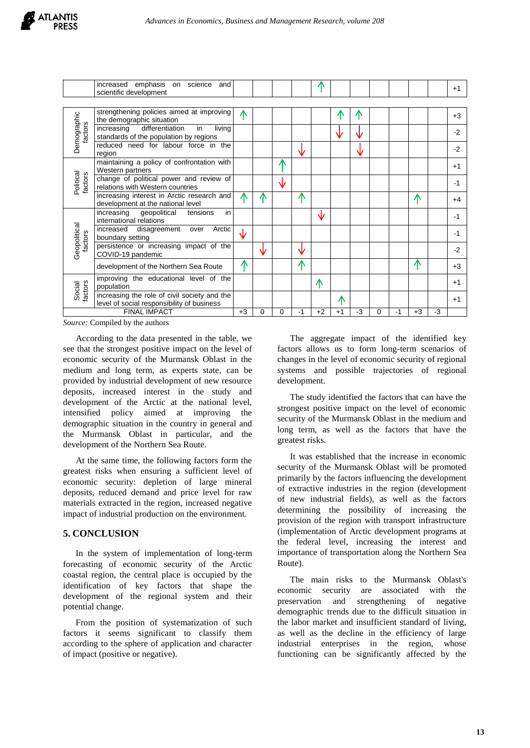|                         | increased emphasis on science and<br>scientific development                                |      |            |                    |      |      |      |      |          |      |      |    | $+1$ |
|-------------------------|--------------------------------------------------------------------------------------------|------|------------|--------------------|------|------|------|------|----------|------|------|----|------|
|                         |                                                                                            |      |            |                    |      |      |      |      |          |      |      |    |      |
| Demographic<br>factors  | strengthening policies aimed at improving<br>the demographic situation                     | ∧    |            |                    |      |      |      |      |          |      |      |    | $+3$ |
|                         | differentiation<br>increasing<br>living<br>in<br>standards of the population by regions    |      |            |                    |      |      |      |      |          |      |      |    | $-2$ |
|                         | reduced need for labour force in the<br>region                                             |      |            |                    | ₩    |      |      | Ŵ    |          |      |      |    | $-2$ |
| Political<br>factors    | maintaining a policy of confrontation with<br>Western partners                             |      |            | Ж                  |      |      |      |      |          |      |      |    | $+1$ |
|                         | change of political power and review of<br>relations with Western countries                |      |            | $\mathbf{\hat{v}}$ |      |      |      |      |          |      |      |    | $-1$ |
|                         | increasing interest in Arctic research and<br>development at the national level            | ⋀    | Λ          |                    | ∧    |      |      |      |          |      | 不    |    | +4   |
| Geopolitical<br>factors | in<br>increasing<br>geopolitical<br>tensions<br>international relations                    |      |            |                    |      | ∿    |      |      |          |      |      |    | -1   |
|                         | increased<br>Arctic<br>disagreement over<br>boundary setting                               | ∿    |            |                    |      |      |      |      |          |      |      |    | $-1$ |
|                         | persistence or increasing impact of the<br>COVID-19 pandemic                               |      | $\sqrt{2}$ |                    | Ŵ    |      |      |      |          |      |      |    | $-2$ |
|                         | development of the Northern Sea Route                                                      | ⋀    |            |                    | 不    |      |      |      |          |      | ⋀    |    | $+3$ |
| Social<br>factors       | improving the educational level of the<br>population                                       |      |            |                    |      | ∧    |      |      |          |      |      |    | $+1$ |
|                         | increasing the role of civil society and the<br>level of social responsibility of business |      |            |                    |      |      | ∧    |      |          |      |      |    | $+1$ |
| <b>FINAL IMPACT</b>     |                                                                                            | $+3$ | 0          | 0                  | $-1$ | $+2$ | $+1$ | $-3$ | $\Omega$ | $-1$ | $+3$ | -3 |      |

*Source:* Compiled by the authors

According to the data presented in the table, we see that the strongest positive impact on the level of economic security of the Murmansk Oblast in the medium and long term, as experts state, can be provided by industrial development of new resource deposits, increased interest in the study and development of the Arctic at the national level, intensified policy aimed at improving the demographic situation in the country in general and the Murmansk Oblast in particular, and the development of the Northern Sea Route.

At the same time, the following factors form the greatest risks when ensuring a sufficient level of economic security: depletion of large mineral deposits, reduced demand and price level for raw materials extracted in the region, increased negative impact of industrial production on the environment.

# **5. CONCLUSION**

In the system of implementation of long-term forecasting of economic security of the Arctic coastal region, the central place is occupied by the identification of key factors that shape the development of the regional system and their potential change.

From the position of systematization of such factors it seems significant to classify them according to the sphere of application and character of impact (positive or negative).

The aggregate impact of the identified key factors allows us to form long-term scenarios of changes in the level of economic security of regional systems and possible trajectories of regional development.

The study identified the factors that can have the strongest positive impact on the level of economic security of the Murmansk Oblast in the medium and long term, as well as the factors that have the greatest risks.

It was established that the increase in economic security of the Murmansk Oblast will be promoted primarily by the factors influencing the development of extractive industries in the region (development of new industrial fields), as well as the factors determining the possibility of increasing the provision of the region with transport infrastructure (implementation of Arctic development programs at the federal level, increasing the interest and importance of transportation along the Northern Sea Route).

The main risks to the Murmansk Oblast's economic security are associated with the preservation and strengthening of negative demographic trends due to the difficult situation in the labor market and insufficient standard of living, as well as the decline in the efficiency of large industrial enterprises in the region, whose functioning can be significantly affected by the